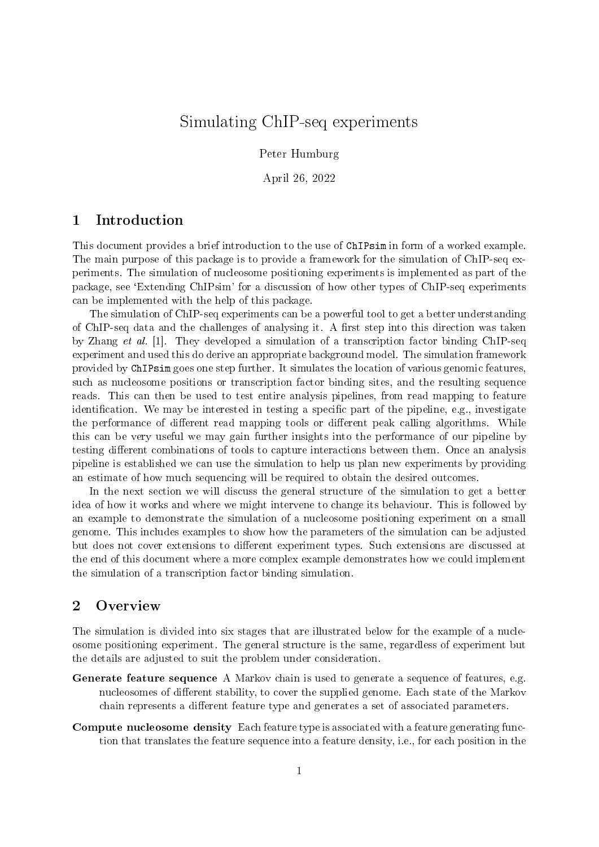# Simulating ChIP-seq experiments

## Peter Humburg

April 26, 2022

# 1 Introduction

This document provides a brief introduction to the use of ChIPsim in form of a worked example. The main purpose of this package is to provide a framework for the simulation of ChIP-seq experiments. The simulation of nucleosome positioning experiments is implemented as part of the package, see `Extending ChIPsim' for a discussion of how other types of ChIP-seq experiments can be implemented with the help of this package.

The simulation of ChIP-seq experiments can be a powerful tool to get a better understanding of ChIP-seq data and the challenges of analysing it. A first step into this direction was taken by Zhang et al. [1]. They developed a simulation of a transcription factor binding ChIP-seq experiment and used this do derive an appropriate background model. The simulation framework provided by ChIPsim goes one step further. It simulates the location of various genomic features, such as nucleosome positions or transcription factor binding sites, and the resulting sequence reads. This can then be used to test entire analysis pipelines, from read mapping to feature identification. We may be interested in testing a specific part of the pipeline, e.g., investigate the performance of different read mapping tools or different peak calling algorithms. While this can be very useful we may gain further insights into the performance of our pipeline by testing different combinations of tools to capture interactions between them. Once an analysis pipeline is established we can use the simulation to help us plan new experiments by providing an estimate of how much sequencing will be required to obtain the desired outcomes.

In the next section we will discuss the general structure of the simulation to get a better idea of how it works and where we might intervene to change its behaviour. This is followed by an example to demonstrate the simulation of a nucleosome positioning experiment on a small genome. This includes examples to show how the parameters of the simulation can be adjusted but does not cover extensions to different experiment types. Such extensions are discussed at the end of this document where a more complex example demonstrates how we could implement the simulation of a transcription factor binding simulation.

# 2 Overview

The simulation is divided into six stages that are illustrated below for the example of a nucleosome positioning experiment. The general structure is the same, regardless of experiment but the details are adjusted to suit the problem under consideration.

- Generate feature sequence A Markov chain is used to generate a sequence of features, e.g. nucleosomes of different stability, to cover the supplied genome. Each state of the Markov chain represents a different feature type and generates a set of associated parameters.
- Compute nucleosome density Each feature type is associated with a feature generating function that translates the feature sequence into a feature density, i.e., for each position in the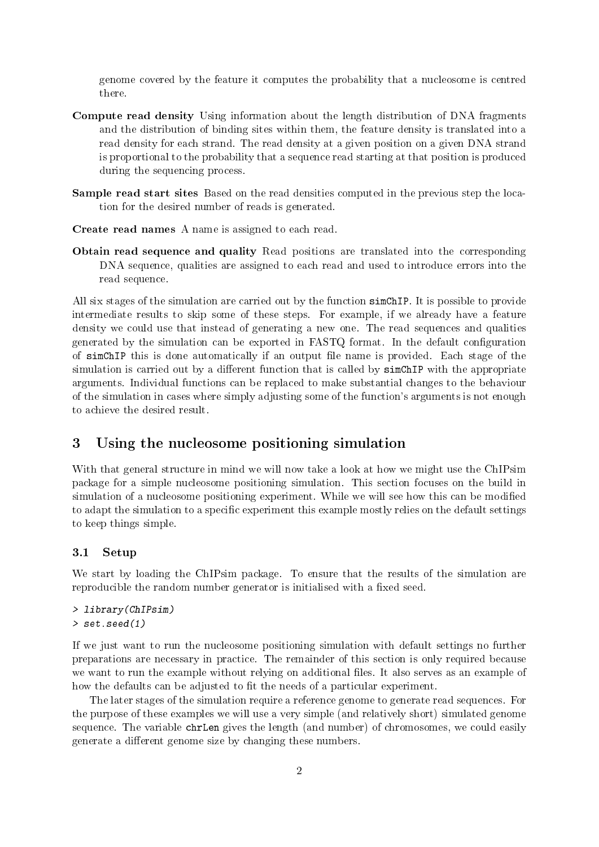genome covered by the feature it computes the probability that a nucleosome is centred there.

- Compute read density Using information about the length distribution of DNA fragments and the distribution of binding sites within them, the feature density is translated into a read density for each strand. The read density at a given position on a given DNA strand is proportional to the probability that a sequence read starting at that position is produced during the sequencing process.
- Sample read start sites Based on the read densities computed in the previous step the location for the desired number of reads is generated.
- Create read names A name is assigned to each read.
- Obtain read sequence and quality Read positions are translated into the corresponding DNA sequence, qualities are assigned to each read and used to introduce errors into the read sequence.

All six stages of the simulation are carried out by the function simChIP. It is possible to provide intermediate results to skip some of these steps. For example, if we already have a feature density we could use that instead of generating a new one. The read sequences and qualities generated by the simulation can be exported in FASTQ format. In the default conguration of simChIP this is done automatically if an output file name is provided. Each stage of the simulation is carried out by a different function that is called by simChIP with the appropriate arguments. Individual functions can be replaced to make substantial changes to the behaviour of the simulation in cases where simply adjusting some of the function's arguments is not enough to achieve the desired result.

## 3 Using the nucleosome positioning simulation

With that general structure in mind we will now take a look at how we might use the ChIPsim package for a simple nucleosome positioning simulation. This section focuses on the build in simulation of a nucleosome positioning experiment. While we will see how this can be modified to adapt the simulation to a specific experiment this example mostly relies on the default settings to keep things simple.

#### 3.1 Setup

We start by loading the ChIPsim package. To ensure that the results of the simulation are reproducible the random number generator is initialised with a fixed seed.

> library(ChIPsim)  $>$  set.seed(1)

If we just want to run the nucleosome positioning simulation with default settings no further preparations are necessary in practice. The remainder of this section is only required because we want to run the example without relying on additional files. It also serves as an example of how the defaults can be adjusted to fit the needs of a particular experiment.

The later stages of the simulation require a reference genome to generate read sequences. For the purpose of these examples we will use a very simple (and relatively short) simulated genome sequence. The variable chrLen gives the length (and number) of chromosomes, we could easily generate a different genome size by changing these numbers.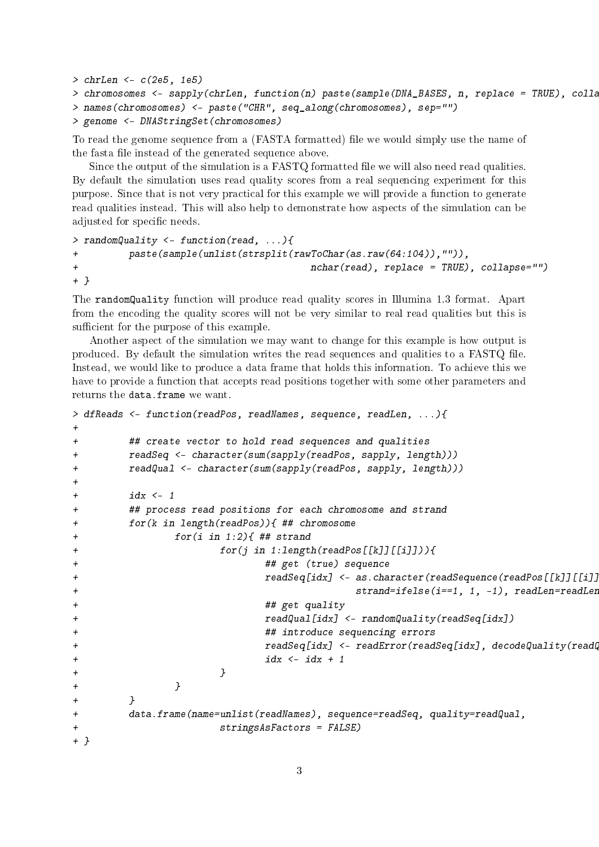```
> chrLen <- c(2e5, 1e5)
> chromosomes <- sapply(chrLen, function(n) paste(sample(DNA_BASES, n, replace = TRUE), colla
> names(chromosomes) <- paste("CHR", seq_along(chromosomes), sep="")
> genome <- DNAStringSet(chromosomes)
```
To read the genome sequence from a (FASTA formatted) file we would simply use the name of the fasta file instead of the generated sequence above.

Since the output of the simulation is a  $FASTQ$  formatted file we will also need read qualities. By default the simulation uses read quality scores from a real sequencing experiment for this purpose. Since that is not very practical for this example we will provide a function to generate read qualities instead. This will also help to demonstrate how aspects of the simulation can be adjusted for specific needs.

```
> randomQuality <- function(read, ...){
+ paste(sample(unlist(strsplit(rawToChar(as.raw(64:104)),"")),
+ nchar(read), replace = TRUE), collapse="")
+ }
```
The randomQuality function will produce read quality scores in Illumina 1.3 format. Apart from the encoding the quality scores will not be very similar to real read qualities but this is sufficient for the purpose of this example.

Another aspect of the simulation we may want to change for this example is how output is produced. By default the simulation writes the read sequences and qualities to a FASTQ le. Instead, we would like to produce a data frame that holds this information. To achieve this we have to provide a function that accepts read positions together with some other parameters and returns the data.frame we want.

```
> dfReads <- function(readPos, readNames, sequence, readLen, ...){
+
+ ## create vector to hold read sequences and qualities
+ readSeq <- character(sum(sapply(readPos, sapply, length)))
+ readQual <- character(sum(sapply(readPos, sapply, length)))
+
+ idx <-1+ ## process read positions for each chromosome and strand
+ for(k in length(readPos)){ ## chromosome
+ for(i in 1:2){ ## strand
+ for(j in 1:length(readPos[[k]][[i]])){
+ ## get (true) sequence
+ readSeq[idx] <- as.character(readSequence(readPos[[k]][[i]][j], sequence[[k]],
+ strand=ifelse(i==1, 1, -1), readLen=readLen))
+ # # get quality+ readQual[idx] <- randomQuality(readSeq[idx])
+ ## introduce sequencing errors
+ \qquad readSeq[idx] <- readError(readSeq[idx], decodeQuality(read(
+ idx \langle - idx + 1
+ }
+ }
+ }
+ data.frame(name=unlist(readNames), sequence=readSeq, quality=readQual,
+ stringsAsFactors = FALSE)
+ }
```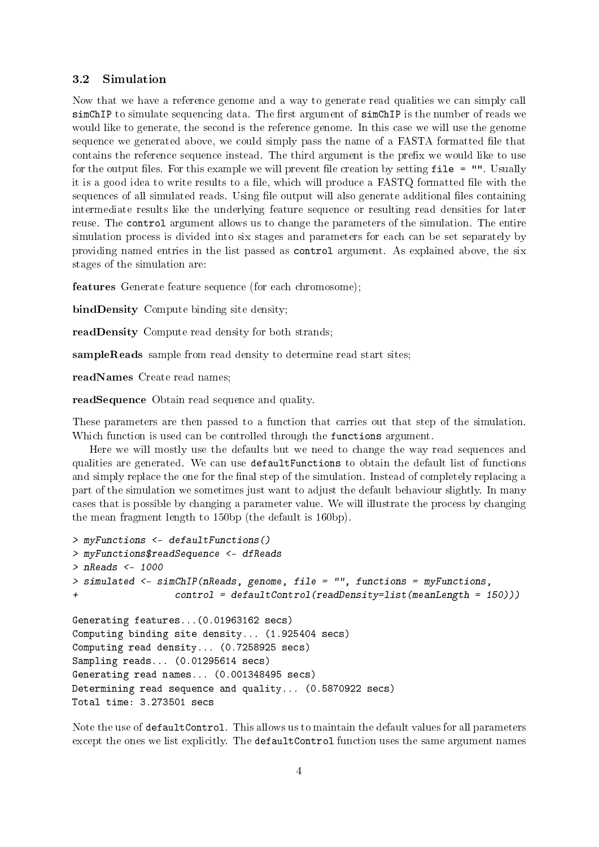## 3.2 Simulation

Now that we have a reference genome and a way to generate read qualities we can simply call simChIP to simulate sequencing data. The first argument of simChIP is the number of reads we would like to generate, the second is the reference genome. In this case we will use the genome sequence we generated above, we could simply pass the name of a FASTA formatted file that contains the reference sequence instead. The third argument is the prefix we would like to use for the output files. For this example we will prevent file creation by setting  $file = "".$  Usually it is a good idea to write results to a file, which will produce a FASTQ formatted file with the sequences of all simulated reads. Using file output will also generate additional files containing intermediate results like the underlying feature sequence or resulting read densities for later reuse. The control argument allows us to change the parameters of the simulation. The entire simulation process is divided into six stages and parameters for each can be set separately by providing named entries in the list passed as control argument. As explained above, the six stages of the simulation are:

features Generate feature sequence (for each chromosome);

bindDensity Compute binding site density;

readDensity Compute read density for both strands;

sampleReads sample from read density to determine read start sites;

readNames Create read names;

readSequence Obtain read sequence and quality.

These parameters are then passed to a function that carries out that step of the simulation. Which function is used can be controlled through the functions argument.

Here we will mostly use the defaults but we need to change the way read sequences and qualities are generated. We can use defaultFunctions to obtain the default list of functions and simply replace the one for the final step of the simulation. Instead of completely replacing a part of the simulation we sometimes just want to adjust the default behaviour slightly. In many cases that is possible by changing a parameter value. We will illustrate the process by changing the mean fragment length to 150bp (the default is 160bp).

```
> myFunctions <- defaultFunctions()
> myFunctions$readSequence <- dfReads
> nReads <- 1000
> simulated <- simChIP(nReads, genome, file = "", functions = myFunctions,
+ control = defaultControl(readDensity=list(meanLength = 150)))
Generating features...(0.01963162 secs)
Computing binding site density... (1.925404 secs)
Computing read density... (0.7258925 secs)
Sampling reads... (0.01295614 secs)
Generating read names... (0.001348495 secs)
Determining read sequence and quality... (0.5870922 secs)
Total time: 3.273501 secs
```
Note the use of defaultControl. This allows us to maintain the default values for all parameters except the ones we list explicitly. The defaultControl function uses the same argument names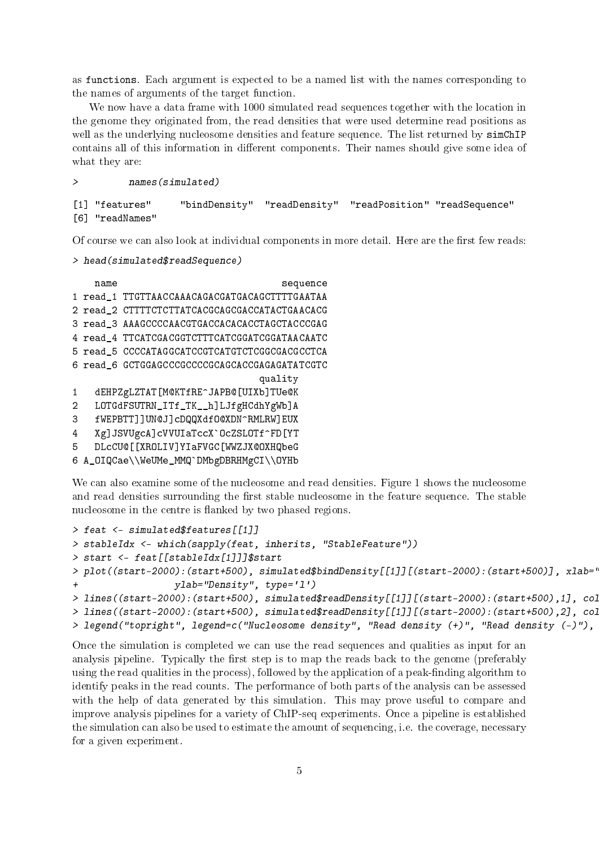as functions. Each argument is expected to be a named list with the names corresponding to the names of arguments of the target function.

We now have a data frame with 1000 simulated read sequences together with the location in the genome they originated from, the read densities that were used determine read positions as well as the underlying nucleosome densities and feature sequence. The list returned by simChIP contains all of this information in different components. Their names should give some idea of what they are:

> names(simulated)

```
[1] "features"  "bindDensity" "readDensity" "readPosition" "readSequence"
[6] "readNames"
```
Of course we can also look at individual components in more detail. Here are the first few reads:

```
> head(simulated$readSequence)
```

```
name sequence
1 read_1 TTGTTAACCAAACAGACGATGACAGCTTTTGAATAA
2 read_2 CTTTTCTCTTATCACGCAGCGACCATACTGAACACG
3 read_3 AAAGCCCCAACGTGACCACACACCTAGCTACCCGAG
4 read_4 TTCATCGACGGTCTTTCATCGGATCGGATAACAATC
5 read_5 CCCCATAGGCATCCGTCATGTCTCGGCGACGCCTCA
6 read_6 GCTGGAGCCCGCCCCGCAGCACCGAGAGATATCGTC
                                           quality
1 dEHPZgLZTAT[M@KTfRE^JAPB@[UIXb]TUe@K
2 LOTGdFSUTRN_ITf_TK__h]LJfgHCdhYgWb]A
3 fWEPBTT]]UN@J]cDQQXdfO@XDN^RMLRW]EUX
1 dEHPZgLZTAT[M@KTfRE^JAPB@[UIXb]TUe@K<br>2 LOTGdFSUTRN_ITf_TK__h]LJfgHCdhYgWb]A<br>3 fWEPBTT]]UN@J]cDQQXdfO@XDN^RMLRW]EUX<br>4 Xg]JSVUgcA]cVVUIaTccX`OcZSLOTf^FD[YT
5 DLcCU@[[XROLIV]YIaFVGC[WWZJX@OXHQbeG
4 Xg]JSVUgcA]cVVUIaTccX`OcZSLOTf^FD[YT<br>5 DLcCU@[[XROLIV]YIaFVGC[WWZJX@OXHQbeG<br>6 A_OIQCae\\WeUMe_MMQ`DMbgDBRHMgCI\\OYHb
```
We can also examine some of the nucleosome and read densities. Figure 1 shows the nucleosome

and read densities surrounding the first stable nucleosome in the feature sequence. The stable nucleosome in the centre is flanked by two phased regions.

```
> feat <- simulated$features[[1]]
> stableIdx <- which(sapply(feat, inherits, "StableFeature"))
> start <- feat[[stableIdx[1]]]$start
> plot((start-2000):(start+500), simulated$bindDensity[[1]][(start-2000):(start+500)], xlab='
+ ylab="Density", type='l')
> lines((start-2000):(start+500), simulated$readDensity[[1]][(start-2000):(start+500),1], col=4)
> lines((start-2000):(start+500), simulated$readDensity[[1]][(start-2000):(start+500),2], col=2)
> legend("topright", legend=c("Nucleosome density", "Read density (+)", "Read density (-)"),
```
Once the simulation is completed we can use the read sequences and qualities as input for an analysis pipeline. Typically the first step is to map the reads back to the genome (preferably using the read qualities in the process), followed by the application of a peak-finding algorithm to identify peaks in the read counts. The performance of both parts of the analysis can be assessed with the help of data generated by this simulation. This may prove useful to compare and improve analysis pipelines for a variety of ChIP-seq experiments. Once a pipeline is established the simulation can also be used to estimate the amount of sequencing, i.e. the coverage, necessary for a given experiment.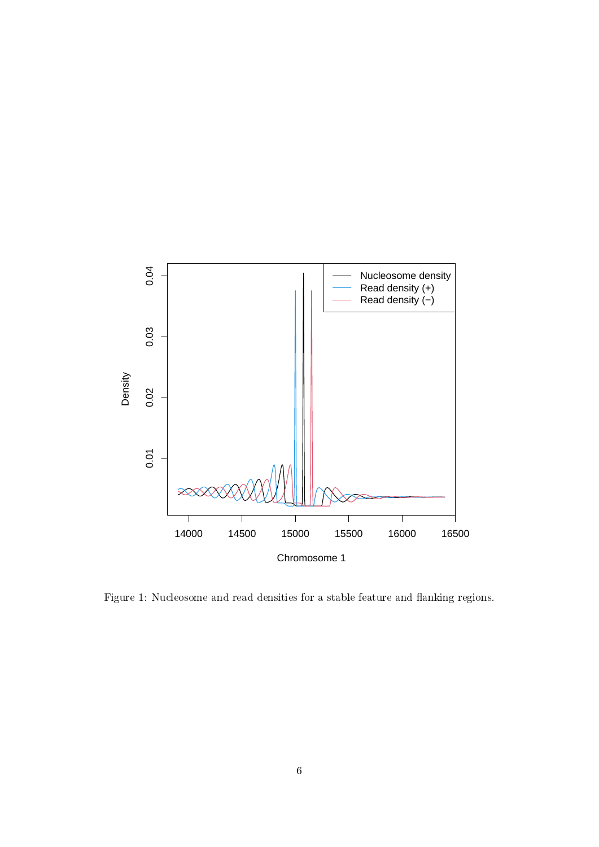

Figure 1: Nucleosome and read densities for a stable feature and flanking regions.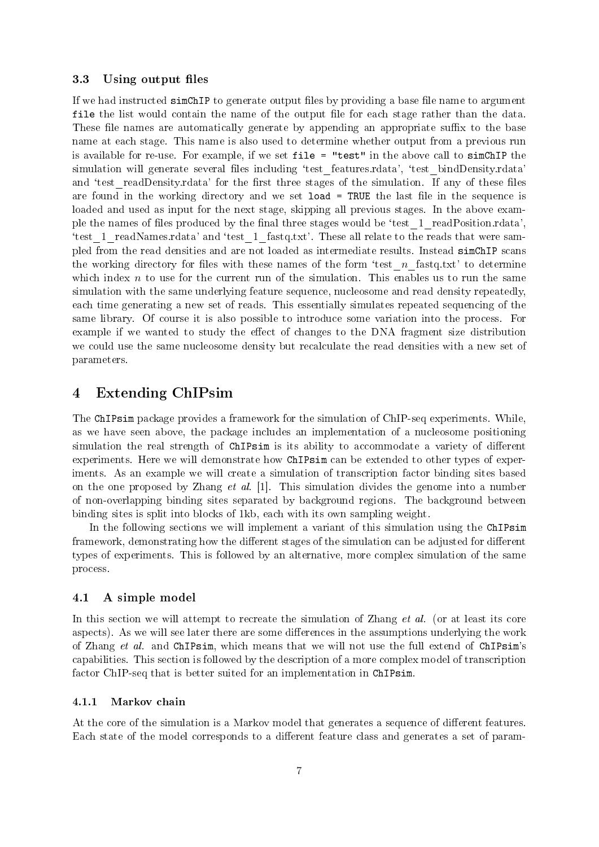## 3.3 Using output files

If we had instructed simChIP to generate output files by providing a base file name to argument file the list would contain the name of the output file for each stage rather than the data. These file names are automatically generate by appending an appropriate suffix to the base name at each stage. This name is also used to determine whether output from a previous run is available for re-use. For example, if we set file = "test" in the above call to simChIP the simulation will generate several files including 'test features.rdata', 'test bindDensity.rdata' and 'test readDensity.rdata' for the first three stages of the simulation. If any of these files are found in the working directory and we set  $load = TRUE$  the last file in the sequence is loaded and used as input for the next stage, skipping all previous stages. In the above example the names of files produced by the final three stages would be 'test  $\,1\,$  readPosition.rdata'. `test\_1\_readNames.rdata' and `test\_1\_fastq.txt'. These all relate to the reads that were sampled from the read densities and are not loaded as intermediate results. Instead simChIP scans the working directory for files with these names of the form 'test  $n$  fastq.txt' to determine which index  $n$  to use for the current run of the simulation. This enables us to run the same simulation with the same underlying feature sequence, nucleosome and read density repeatedly, each time generating a new set of reads. This essentially simulates repeated sequencing of the same library. Of course it is also possible to introduce some variation into the process. For example if we wanted to study the effect of changes to the DNA fragment size distribution we could use the same nucleosome density but recalculate the read densities with a new set of parameters.

# 4 Extending ChIPsim

The ChIPsim package provides a framework for the simulation of ChIP-seq experiments. While, as we have seen above, the package includes an implementation of a nucleosome positioning simulation the real strength of ChIPsim is its ability to accommodate a variety of different experiments. Here we will demonstrate how ChIPsim can be extended to other types of experiments. As an example we will create a simulation of transcription factor binding sites based on the one proposed by Zhang et al. [1]. This simulation divides the genome into a number of non-overlapping binding sites separated by background regions. The background between binding sites is split into blocks of 1kb, each with its own sampling weight.

In the following sections we will implement a variant of this simulation using the ChIPsim framework, demonstrating how the different stages of the simulation can be adjusted for different types of experiments. This is followed by an alternative, more complex simulation of the same process.

## 4.1 A simple model

In this section we will attempt to recreate the simulation of Zhang *et al.* (or at least its core aspects). As we will see later there are some differences in the assumptions underlying the work of Zhang et al. and ChIPsim, which means that we will not use the full extend of ChIPsim's capabilities. This section is followed by the description of a more complex model of transcription factor ChIP-seq that is better suited for an implementation in ChIPsim.

#### 4.1.1 Markov chain

At the core of the simulation is a Markov model that generates a sequence of different features. Each state of the model corresponds to a different feature class and generates a set of param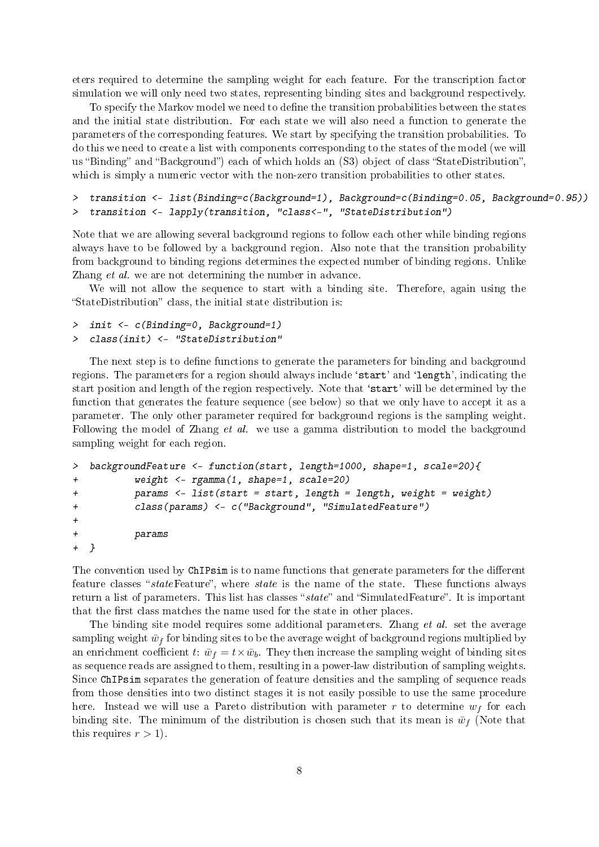eters required to determine the sampling weight for each feature. For the transcription factor simulation we will only need two states, representing binding sites and background respectively.

To specify the Markov model we need to define the transition probabilities between the states and the initial state distribution. For each state we will also need a function to generate the parameters of the corresponding features. We start by specifying the transition probabilities. To do this we need to create a list with components corresponding to the states of the model (we will us "Binding" and "Background") each of which holds an (S3) object of class "StateDistribution", which is simply a numeric vector with the non-zero transition probabilities to other states.

```
> transition <- list(Binding=c(Background=1), Background=c(Binding=0.05, Background=0.95))
> transition <- lapply(transition, "class<-", "StateDistribution")
```
Note that we are allowing several background regions to follow each other while binding regions always have to be followed by a background region. Also note that the transition probability from background to binding regions determines the expected number of binding regions. Unlike Zhang et al. we are not determining the number in advance.

We will not allow the sequence to start with a binding site. Therefore, again using the "StateDistribution" class, the initial state distribution is:

```
> init <- c(Binding=0, Background=1)
```

```
> class(init) <- "StateDistribution"
```
The next step is to define functions to generate the parameters for binding and background regions. The parameters for a region should always include 'start' and 'length', indicating the start position and length of the region respectively. Note that 'start' will be determined by the function that generates the feature sequence (see below) so that we only have to accept it as a parameter. The only other parameter required for background regions is the sampling weight. Following the model of Zhang *et al.* we use a gamma distribution to model the background sampling weight for each region.

```
> backgroundFeature <- function(start, length=1000, shape=1, scale=20){
+ weight <- rgamma(1, shape=1, scale=20)
+ params <- list(start = start, length = length, weight = weight)
+ class(params) <- c("Background", "SimulatedFeature")
+
+ params
+ }
```
The convention used by ChIPsim is to name functions that generate parameters for the different feature classes "stateFeature", where state is the name of the state. These functions always return a list of parameters. This list has classes " $state$ " and "SimulatedFeature". It is important that the first class matches the name used for the state in other places.

The binding site model requires some additional parameters. Zhang et al. set the average sampling weight  $\bar{w}_f$  for binding sites to be the average weight of background regions multiplied by an enrichment coefficient t:  $\bar{w}_f = t \times \bar{w}_b$ . They then increase the sampling weight of binding sites as sequence reads are assigned to them, resulting in a power-law distribution of sampling weights. Since ChIPsim separates the generation of feature densities and the sampling of sequence reads from those densities into two distinct stages it is not easily possible to use the same procedure here. Instead we will use a Pareto distribution with parameter r to determine  $w_f$  for each binding site. The minimum of the distribution is chosen such that its mean is  $\bar{w}_f$  (Note that this requires  $r > 1$ .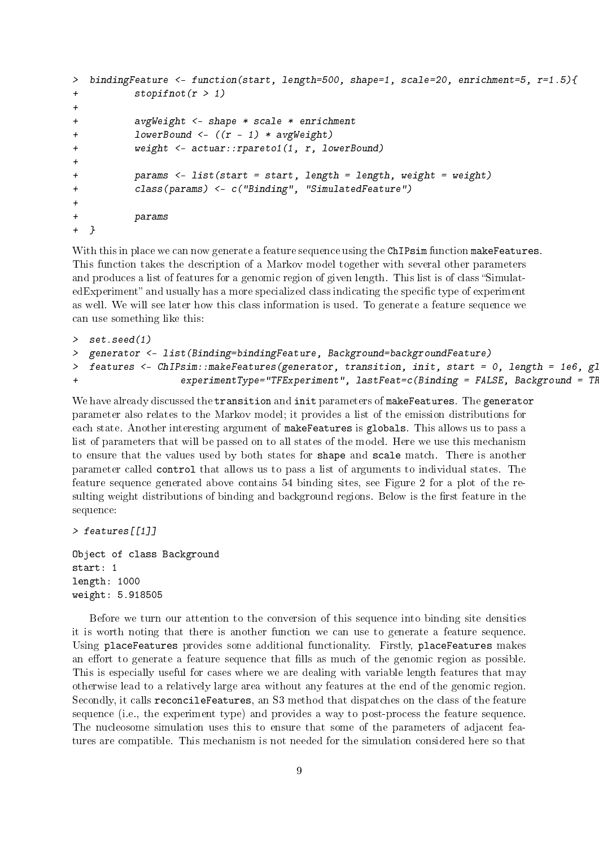```
> bindingFeature <- function(start, length=500, shape=1, scale=20, enrichment=5, r=1.5){
+ stopifnot(r > 1)
+
+ avgWeight <- shape * scale * enrichment
+ lowerBound <- ((r - 1) * avgWeight)
+ weight <- actuar::rpareto1(1, r, lowerBound)
+
+ params <- list(start = start, length = length, weight = weight)
+ class(params) <- c("Binding", "SimulatedFeature")
+
+ params
+ }
```

```
With this in place we can now generate a feature sequence using the ChIPsim function makeFeatures.
This function takes the description of a Markov model together with several other parameters
and produces a list of features for a genomic region of given length. This list is of class "Simulat-
edExperiment" and usually has a more specialized class indicating the specific type of experiment
as well. We will see later how this class information is used. To generate a feature sequence we
can use something like this:
```

```
> set.seed(1)
> generator <- list(Binding=bindingFeature, Background=backgroundFeature)
> features <- ChIPsim::makeFeatures(generator, transition, init, start = 0, length = 1e6, gl
                   experimentType="TFExperiment", lastFeat=c(Binding = FALSE, Background = TF
```
We have already discussed the transition and init parameters of makeFeatures. The generator parameter also relates to the Markov model; it provides a list of the emission distributions for each state. Another interesting argument of makeFeatures is globals. This allows us to pass a list of parameters that will be passed on to all states of the model. Here we use this mechanism to ensure that the values used by both states for shape and scale match. There is another parameter called control that allows us to pass a list of arguments to individual states. The feature sequence generated above contains 54 binding sites, see Figure 2 for a plot of the resulting weight distributions of binding and background regions. Below is the first feature in the sequence:

```
> features[[1]]
```

```
Object of class Background
start: 1
length: 1000
weight: 5.918505
```
Before we turn our attention to the conversion of this sequence into binding site densities it is worth noting that there is another function we can use to generate a feature sequence. Using placeFeatures provides some additional functionality. Firstly, placeFeatures makes an effort to generate a feature sequence that fills as much of the genomic region as possible. This is especially useful for cases where we are dealing with variable length features that may otherwise lead to a relatively large area without any features at the end of the genomic region. Secondly, it calls reconcileFeatures, an S3 method that dispatches on the class of the feature sequence (i.e., the experiment type) and provides a way to post-process the feature sequence. The nucleosome simulation uses this to ensure that some of the parameters of adjacent features are compatible. This mechanism is not needed for the simulation considered here so that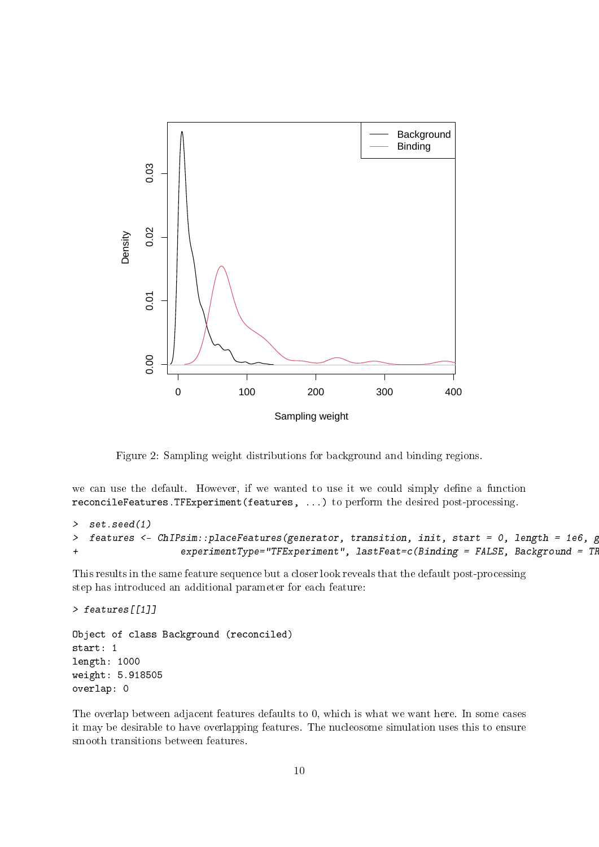

Figure 2: Sampling weight distributions for background and binding regions.

we can use the default. However, if we wanted to use it we could simply define a function reconcileFeatures.TFExperiment(features, ...) to perform the desired post-processing.

```
> set.seed(1)
> features <- ChIPsim::placeFeatures(generator, transition, init, start = 0, length = 1e6, g+ experimentType="TFExperiment", lastFeat=c(Binding = FALSE, Background = TH
```
This results in the same feature sequence but a closer look reveals that the default post-processing step has introduced an additional parameter for each feature:

```
> features[[1]]
Object of class Background (reconciled)
start: 1
length: 1000
weight: 5.918505
overlap: 0
```
The overlap between adjacent features defaults to 0, which is what we want here. In some cases it may be desirable to have overlapping features. The nucleosome simulation uses this to ensure smooth transitions between features.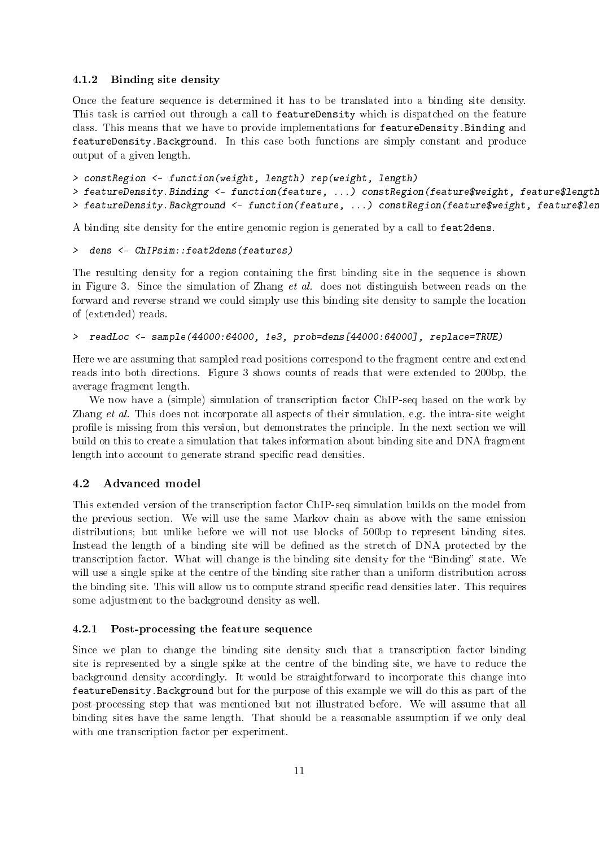#### 4.1.2 Binding site density

Once the feature sequence is determined it has to be translated into a binding site density. This task is carried out through a call to featureDensity which is dispatched on the feature class. This means that we have to provide implementations for featureDensity.Binding and featureDensity.Background. In this case both functions are simply constant and produce output of a given length.

```
> constRegion <- function(weight, length) rep(weight, length)
```

```
> featureDensity.Binding <- function(feature, ...) constRegion(feature$weight, feature$length)
```

```
> featureDensity.Background <- function(feature, ...) constRegion(feature$weight, feature$len
```
A binding site density for the entire genomic region is generated by a call to feat2dens.

```
> dens <- ChIPsim::feat2dens(features)
```
The resulting density for a region containing the first binding site in the sequence is shown in Figure 3. Since the simulation of Zhang  $et$  al. does not distinguish between reads on the forward and reverse strand we could simply use this binding site density to sample the location of (extended) reads.

```
> readLoc <- sample(44000:64000, 1e3, prob=dens[44000:64000], replace=TRUE)
```
Here we are assuming that sampled read positions correspond to the fragment centre and extend reads into both directions. Figure 3 shows counts of reads that were extended to 200bp, the average fragment length.

We now have a (simple) simulation of transcription factor ChIP-seq based on the work by Zhang *et al.* This does not incorporate all aspects of their simulation, e.g. the intra-site weight profile is missing from this version, but demonstrates the principle. In the next section we will build on this to create a simulation that takes information about binding site and DNA fragment length into account to generate strand specific read densities.

## 4.2 Advanced model

This extended version of the transcription factor ChIP-seq simulation builds on the model from the previous section. We will use the same Markov chain as above with the same emission distributions; but unlike before we will not use blocks of 500bp to represent binding sites. Instead the length of a binding site will be defined as the stretch of DNA protected by the transcription factor. What will change is the binding site density for the "Binding" state. We will use a single spike at the centre of the binding site rather than a uniform distribution across the binding site. This will allow us to compute strand specific read densities later. This requires some adjustment to the background density as well.

#### 4.2.1 Post-processing the feature sequence

Since we plan to change the binding site density such that a transcription factor binding site is represented by a single spike at the centre of the binding site, we have to reduce the background density accordingly. It would be straightforward to incorporate this change into featureDensity.Background but for the purpose of this example we will do this as part of the post-processing step that was mentioned but not illustrated before. We will assume that all binding sites have the same length. That should be a reasonable assumption if we only deal with one transcription factor per experiment.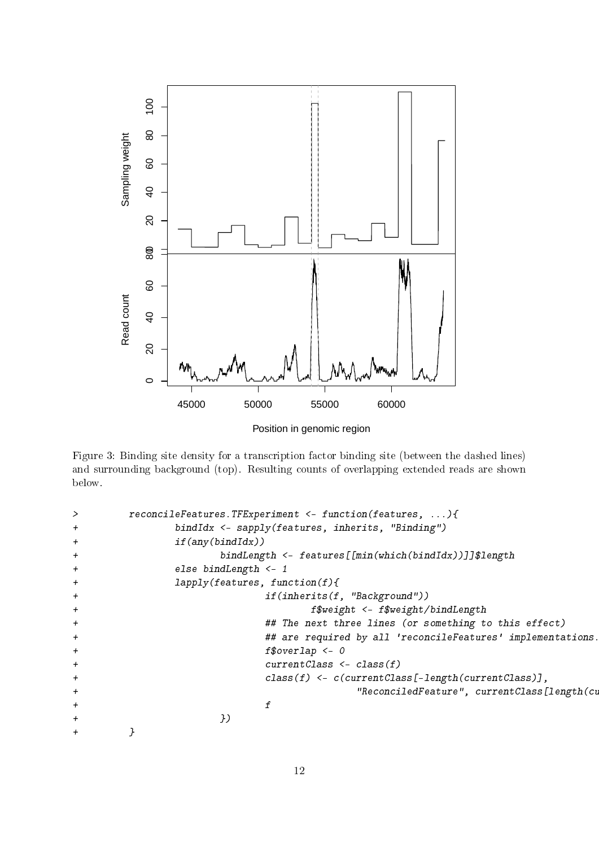

Position in genomic region

Figure 3: Binding site density for a transcription factor binding site (between the dashed lines) and surrounding background (top). Resulting counts of overlapping extended reads are shown below.

```
> reconcileFeatures.TFExperiment <- function(features, ...){
+ bindIdx <- sapply(features, inherits, "Binding")
+ if(any(bindIdx))
+ bindLength <- features[[min(which(bindIdx))]]$length
+ else bindLength <- 1
+ lapply(features, function(f){
+ if(inherits(f, "Background"))
+ f$weight <- f$weight/bindLength
+ ## The next three lines (or something to this effect)
+ ## are required by all 'reconcileFeatures' implementations.
+ f$overlap <- 0
+ currentClass <- class(f)
+ class(f) <- c(currentClass[-length(currentClass)],
+ "ReconciledFeature", currentClass[length(currentClass)])
\pm f
+ })
+ }
```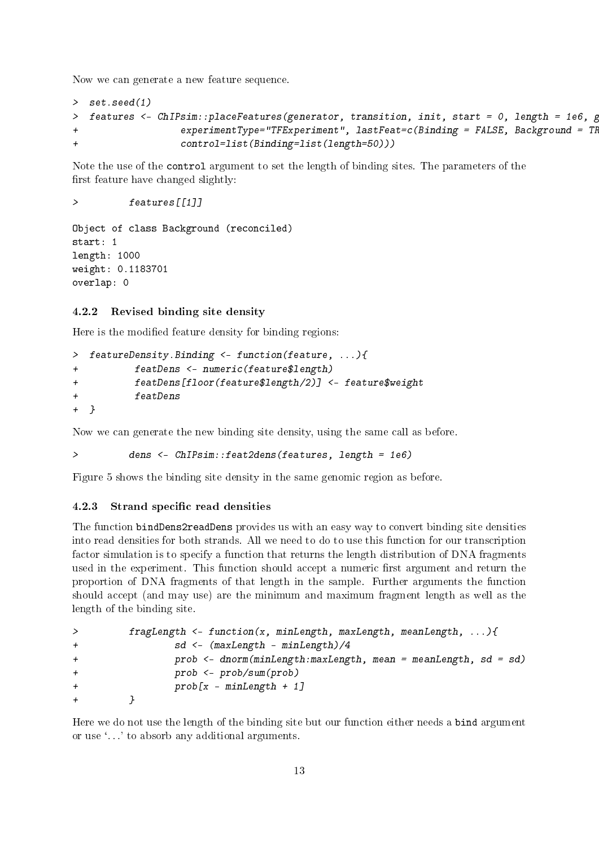Now we can generate a new feature sequence.

```
> set.seed(1)
> features <- ChIPsim::placeFeatures(generator, transition, init, start = 0, length = 1e6, \beta+ experimentType="TFExperiment", lastFeat=c(Binding = FALSE, Background = TRUE),
+ control=list(Binding=list(length=50)))
```
Note the use of the control argument to set the length of binding sites. The parameters of the first feature have changed slightly:

```
> features[[1]]
```

```
Object of class Background (reconciled)
start: 1
length: 1000
weight: 0.1183701
overlap: 0
```
#### 4.2.2 Revised binding site density

Here is the modified feature density for binding regions:

```
> featureDensity.Binding <- function(feature, ...){
+ featDens <- numeric(feature$length)
+ featDens[floor(feature$length/2)] <- feature$weight
+ featDens
+ }
```
Now we can generate the new binding site density, using the same call as before.

> dens <- ChIPsim::feat2dens(features, length = 1e6)

Figure 5 shows the binding site density in the same genomic region as before.

#### 4.2.3 Strand specific read densities

The function bindDens2readDens provides us with an easy way to convert binding site densities into read densities for both strands. All we need to do to use this function for our transcription factor simulation is to specify a function that returns the length distribution of DNA fragments used in the experiment. This function should accept a numeric first argument and return the proportion of DNA fragments of that length in the sample. Further arguments the function should accept (and may use) are the minimum and maximum fragment length as well as the length of the binding site.

```
> fragLength <- function(x, minLength, maxLength, meanLength, ...){
+ sd <- (maxLength - minLength)/4
+ prob <- dnorm(minLength:maxLength, mean = meanLength, sd = sd)
+ prob <- prob/sum(prob)
+ prob[x - minLength + 1]
+ }
```
Here we do not use the length of the binding site but our function either needs a bind argument or use `. . .' to absorb any additional arguments.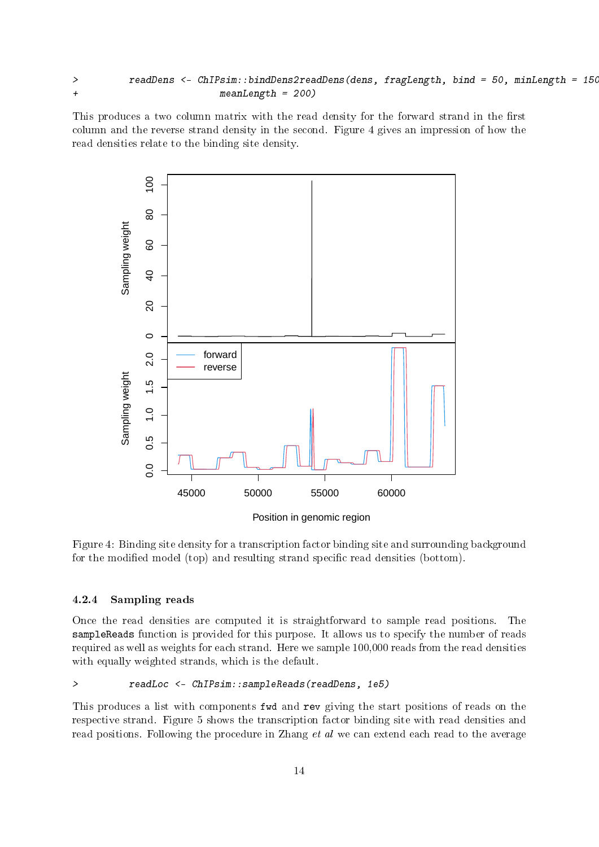#### > readDens <- ChIPsim::bindDens2readDens(dens, fragLength, bind = 50, minLength = 150 + meanLength = 200)

This produces a two column matrix with the read density for the forward strand in the first column and the reverse strand density in the second. Figure 4 gives an impression of how the read densities relate to the binding site density.



Figure 4: Binding site density for a transcription factor binding site and surrounding background for the modified model (top) and resulting strand specific read densities (bottom).

## 4.2.4 Sampling reads

Once the read densities are computed it is straightforward to sample read positions. The sampleReads function is provided for this purpose. It allows us to specify the number of reads required as well as weights for each strand. Here we sample 100,000 reads from the read densities with equally weighted strands, which is the default.

> readLoc <- ChIPsim::sampleReads(readDens, 1e5)

This produces a list with components fwd and rev giving the start positions of reads on the respective strand. Figure 5 shows the transcription factor binding site with read densities and read positions. Following the procedure in Zhang et al we can extend each read to the average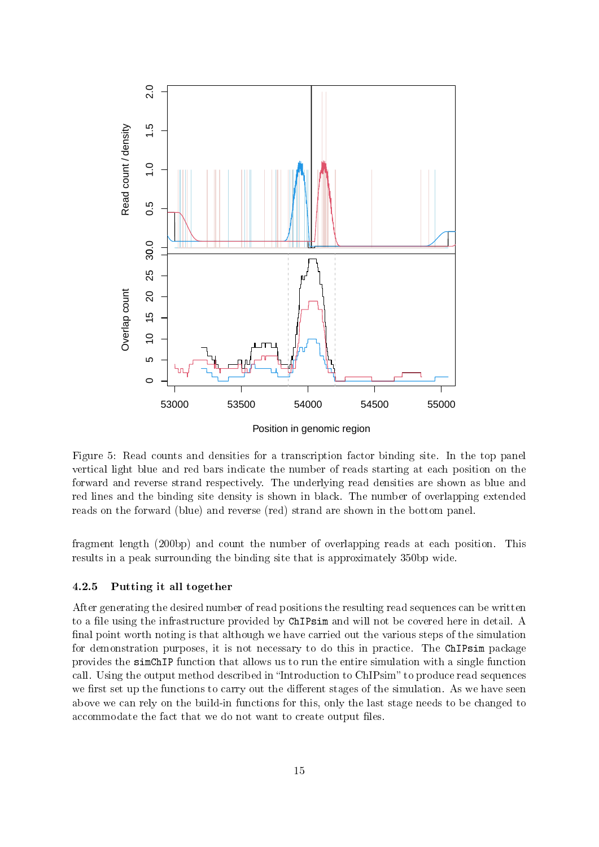

Figure 5: Read counts and densities for a transcription factor binding site. In the top panel vertical light blue and red bars indicate the number of reads starting at each position on the forward and reverse strand respectively. The underlying read densities are shown as blue and red lines and the binding site density is shown in black. The number of overlapping extended reads on the forward (blue) and reverse (red) strand are shown in the bottom panel.

fragment length (200bp) and count the number of overlapping reads at each position. This results in a peak surrounding the binding site that is approximately 350bp wide.

#### 4.2.5 Putting it all together

After generating the desired number of read positions the resulting read sequences can be written to a file using the infrastructure provided by ChIPsim and will not be covered here in detail. A final point worth noting is that although we have carried out the various steps of the simulation for demonstration purposes, it is not necessary to do this in practice. The ChIPsim package provides the simChIP function that allows us to run the entire simulation with a single function call. Using the output method described in "Introduction to ChIPsim" to produce read sequences we first set up the functions to carry out the different stages of the simulation. As we have seen above we can rely on the build-in functions for this, only the last stage needs to be changed to accommodate the fact that we do not want to create output files.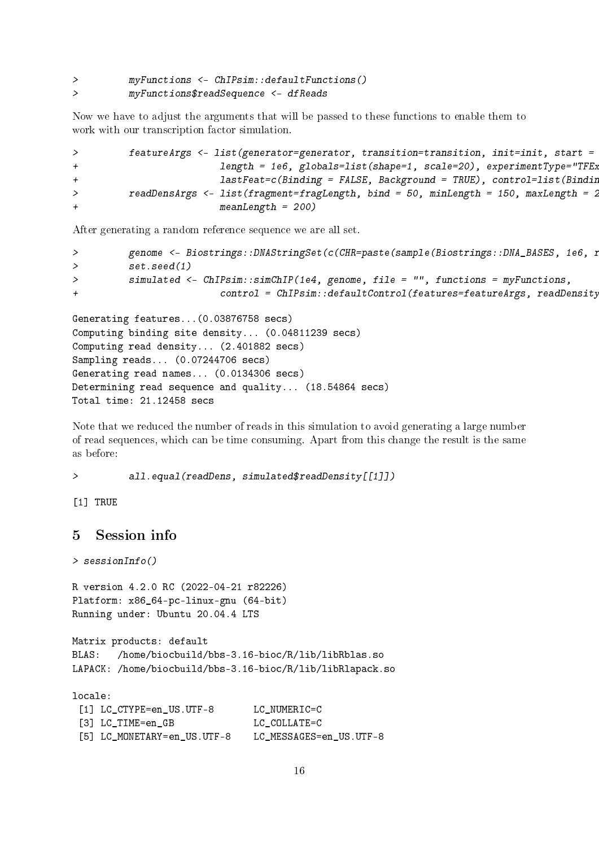> myFunctions <- ChIPsim::defaultFunctions() > myFunctions\$readSequence <- dfReads

Now we have to adjust the arguments that will be passed to these functions to enable them to work with our transcription factor simulation.

```
> featureArgs <- list(generator=generator, transition=transition, init=init, start =
+ length = 1e6, globals=list(shape=1, scale=20), experimentType="TFE<sub>2</sub>
+ lastFeat=c(Binding = FALSE, Background = TRUE), control=list(Bindin
> readDensArgs <- list(fragment=fragLength, bind = 50, minLength = 150, maxLength = 2
+ meanLength = 200)
```
After generating a random reference sequence we are all set.

```
> genome <- Biostrings::DNAStringSet(c(CHR=paste(sample(Biostrings::DNA_BASES, 1e6, replace = "")
> set.seed(1)
> simulated <- ChIPsim::simChIP(1e4, genome, file = "", functions = myFunctions,
                         control = ChIPsim::defaultControl(features=featureArgs, readDensity)
```
Generating features...(0.03876758 secs) Computing binding site density... (0.04811239 secs) Computing read density... (2.401882 secs) Sampling reads... (0.07244706 secs) Generating read names... (0.0134306 secs) Determining read sequence and quality... (18.54864 secs) Total time: 21.12458 secs

Note that we reduced the number of reads in this simulation to avoid generating a large number of read sequences, which can be time consuming. Apart from this change the result is the same as before:

#### > all.equal(readDens, simulated\$readDensity[[1]])

[1] TRUE

# 5 Session info

> sessionInfo()

```
R version 4.2.0 RC (2022-04-21 r82226)
Platform: x86_64-pc-linux-gnu (64-bit)
Running under: Ubuntu 20.04.4 LTS
```

```
Matrix products: default
BLAS: /home/biocbuild/bbs-3.16-bioc/R/lib/libRblas.so
LAPACK: /home/biocbuild/bbs-3.16-bioc/R/lib/libRlapack.so
```

```
locale:
 [1] LC_CTYPE=en_US.UTF-8 LC_NUMERIC=C
 [3] LC TIME=en GB LC COLLATE=C
 [5] LC_MONETARY=en_US.UTF-8 LC_MESSAGES=en_US.UTF-8
```